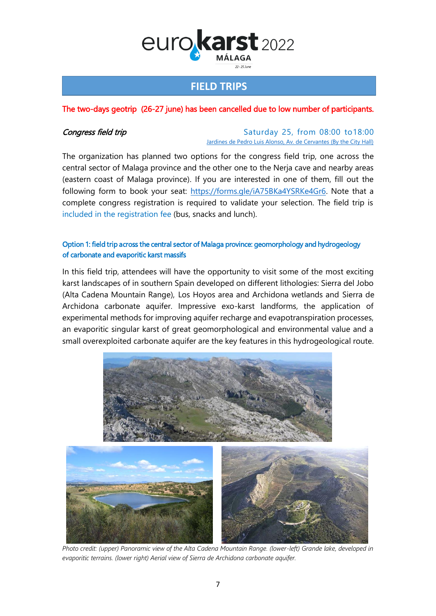

# **FIELD TRIPS**

## The two-days geotrip (26-27 june) has been cancelled due to low number of participants.

#### **Congress field trip** Congress **field trip** Saturday 25, from 08:00 to18:00 [Jardines de Pedro Luis Alonso, Av. de Cervantes \(By the City Hall\)](https://goo.gl/maps/au9utaKt6oT3jQzBA)

The organization has planned two options for the congress field trip, one across the central sector of Malaga province and the other one to the Nerja cave and nearby areas (eastern coast of Malaga province). If you are interested in one of them, fill out the following form to book your seat: [https://forms.gle/iA75BKa4YSRKe4Gr6.](https://forms.gle/iA75BKa4YSRKe4Gr6) Note that a complete congress registration is required to validate your selection. The field trip is included in the registration fee (bus, snacks and lunch).

### Option 1: field trip across the central sector of Malaga province: geomorphology and hydrogeology of carbonate and evaporitic karst massifs

In this field trip, attendees will have the opportunity to visit some of the most exciting karst landscapes of in southern Spain developed on different lithologies: Sierra del Jobo (Alta Cadena Mountain Range), Los Hoyos area and Archidona wetlands and Sierra de Archidona carbonate aquifer. Impressive exo-karst landforms, the application of experimental methods for improving aquifer recharge and evapotranspiration processes, an evaporitic singular karst of great geomorphological and environmental value and a small overexploited carbonate aquifer are the key features in this hydrogeological route.



*Photo credit: (upper) Panoramic view of the Alta Cadena Mountain Range. (lower-left) Grande lake, developed in evaporitic terrains. (lower right) Aerial view of Sierra de Archidona carbonate aquifer.*